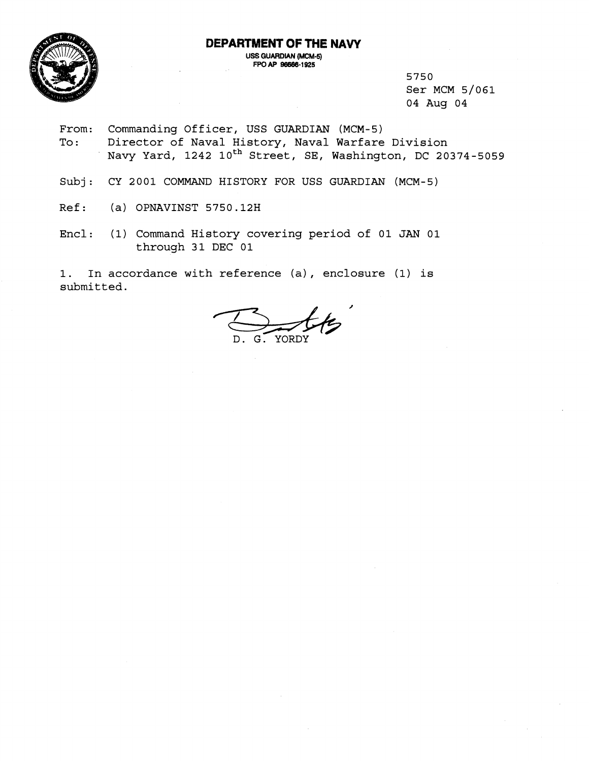## **DEPARTMENT OF THE NAVY**



**USS GUARDIAN (MCM-5) FPOAP 98668-1925** 

> 5750 Ser MCM 5/061 04 Aug 04

- From: Commanding Officer, USS GUARDIAN (MCM-5) To: Director of Naval History, Naval Warfare Division Navy Yard, 1242 10<sup>th</sup> Street, SE, Washington, DC 20374-5059
- Subj: CY 2001 COMMAND HISTORY FOR USS GUARDIAN (MCM-5)
- Ref: (a) OPNAVINST 5750.12H
- Encl: (1) Command History covering period of 01 JAN 01 through 31 DEC 01

1. In accordance with reference (a), enclosure (1) is submitted.

YORDY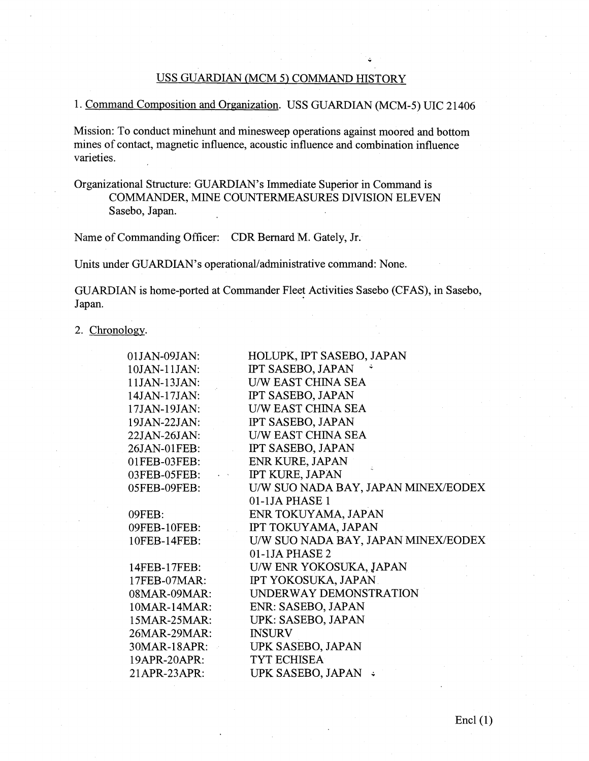# USS GUARDIAN (MCM 5) COMMAND HISTORY

.

# 1. Command Composition and Organization. USS GUARDIAN (MCM-5) UIC 21406

Mission: To conduct minehunt and minesweep operations against moored and bottom mines of contact, magnetic influence, acoustic influence and combination influence varieties.

Organizational Structure: GUARDIAN'S Immediate Superior in Command is COMMANDER, MINE COUNTERMEASURES DIVISION ELEVEN Sasebo, Japan.

Name of Commanding Officer: CDR Bernard M. Gately, Jr.

Units under GUARDIAN'S operational/administrative command: None.

GUARDIAN is home-ported at Commander Fleet Activities Sasebo (CFAS), in Sasebo, Japan.

2. Chronology.

| 01JAN-09JAN:                       | HOLUPK, IPT SASEBO, JAPAN           |
|------------------------------------|-------------------------------------|
| 10JAN-11JAN:                       | IPT SASEBO, JAPAN                   |
| 11JAN-13JAN:                       | <b>U/W EAST CHINA SEA</b>           |
| 14JAN-17JAN:                       | IPT SASEBO, JAPAN                   |
| 17JAN-19JAN:                       | <b>U/W EAST CHINA SEA</b>           |
| 19JAN-22JAN:                       | IPT SASEBO, JAPAN                   |
| 22JAN-26JAN:                       | <b>U/W EAST CHINA SEA</b>           |
| 26JAN-01FEB:                       | IPT SASEBO, JAPAN                   |
| 01FEB-03FEB:                       | ENR KURE, JAPAN                     |
| 03FEB-05FEB:<br>$\varphi\to\infty$ | <b>IPT KURE, JAPAN</b>              |
| 05FEB-09FEB:                       | U/W SUO NADA BAY, JAPAN MINEX/EODEX |
|                                    | 01-1JA PHASE 1                      |
| 09FEB:                             | ENR TOKUYAMA, JAPAN                 |
| 09FEB-10FEB:                       | IPT TOKUYAMA, JAPAN                 |
| 10FEB-14FEB:                       | U/W SUO NADA BAY, JAPAN MINEX/EODEX |
|                                    | $01-1JA PHASE2$                     |
| 14FEB-17FEB:                       | U/W ENR YOKOSUKA, JAPAN             |
| 17FEB-07MAR:                       | IPT YOKOSUKA, JAPAN                 |
| $08MAR-09MAR$ :                    | UNDERWAY DEMONSTRATION              |
| 10MAR-14MAR:                       | ENR: SASEBO, JAPAN                  |
| 15MAR-25MAR:                       | UPK: SASEBO, JAPAN                  |
| 26MAR-29MAR:                       | <b>INSURV</b>                       |
| 30MAR-18APR:                       | UPK SASEBO, JAPAN                   |
| 19APR-20APR:                       | TYT ECHISEA                         |
| 21APR-23APR:                       | UPK SASEBO, JAPAN ↓                 |
|                                    |                                     |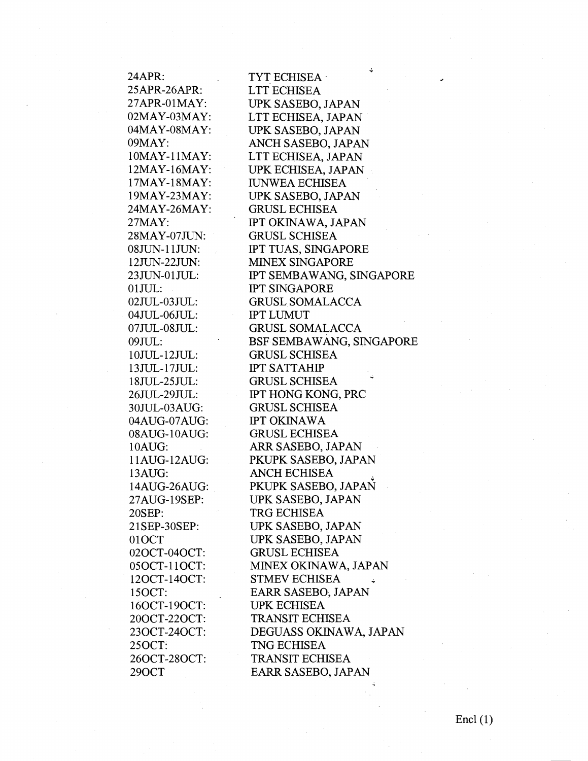24APR: 25APR-26APR: 27APR-OlMAY: 02MAY-03MAY: 04MAY-08MAY: 09MAY: 1OMAY-1 IMAY: 12MAY-16MAY: 17MAY- 1 8MAY: 19MAY-23MAY: 24MAY-26MAY: 27MAY: 28MAY-07JUN: 08 JUN-11 JUN: 12JUN-22JLJN: 23JUN-01JUL:  $01$  JUL: 02JUL-03JUL: 04JUL-06JUL: 07JUL-08JUL: 09JUL: 1 OJUL- 12JUL: 1 3 JUL- 1 7JUL: 1 8 JUL-25JUL: 26JUL-29JUL: 30JUL-03AUG: 04AUG-07AUG: 08AUG-10AUG: 1 OAUG: 1 1 AUG- 12AUG: 13AUG: 14AUG-26AUG: 27AUG- 19SEP: 20SEP: 2 1 SEP-30SEP: 010CT 020CT-040CT: 05 OCT-11 OCT: 120CT- 140CT: 150CT: 160CT- 190CT: 200CT-220CT: 230CT-240CT: 250CT: 260CT-280CT: 290CT

TYT ECHISEA LTT ECHISEA UPK SASEBO, JAPAN LTT ECHISEA, JAPAN UPK SASEBO, JAPAN ANCH SASEBO, JAPAN LTT ECHISEA, JAPAN UPK ECHISEA, JAPAN **IUNWEA ECHISEA** UPK SASEBO, JAPAN GRUSL ECHISEA IPT OKINAWA, JAPAN GRUSL SCHISEA IPT TUAS, SINGAPORE MINEX SINGAPORE IPT SEMBAWANG, SINGAPORE IPT SINGAPORE GRUSL SOMALACCA **IPT LUMUT** GRUSL SOMALACCA BSF SEMBAWANG, SINGAPORE GRUSL SCHISEA IPT SATTAHP GRUSL SCHISEA **<sup>7</sup>** IPT HONC; KONG, PRC GRUSL SCHISEA IPT OKINAWA GRUSL ECHISEA ARR SASEBO, JAPAN PKUPK SASEBO, JAPAN ANCH ECHISEA PKUPK SASEBO, JAPAN UPK SASEBO, JAPAN TRG ECHISEA UPK SASEBO, JAPAN UPK SASEBO, JAPAN GRUSL ECHISEA MINEX OKINAWA, JAPAN STMEV ECHISEA EARR SASEBO, JAPAN UPK ECHISEA TRANSIT ECHISEA DEGUASS OKINAWA, JAPAN TNG ECHISEA TRANSIT ECHISEA EARR SASEBO, JAPAN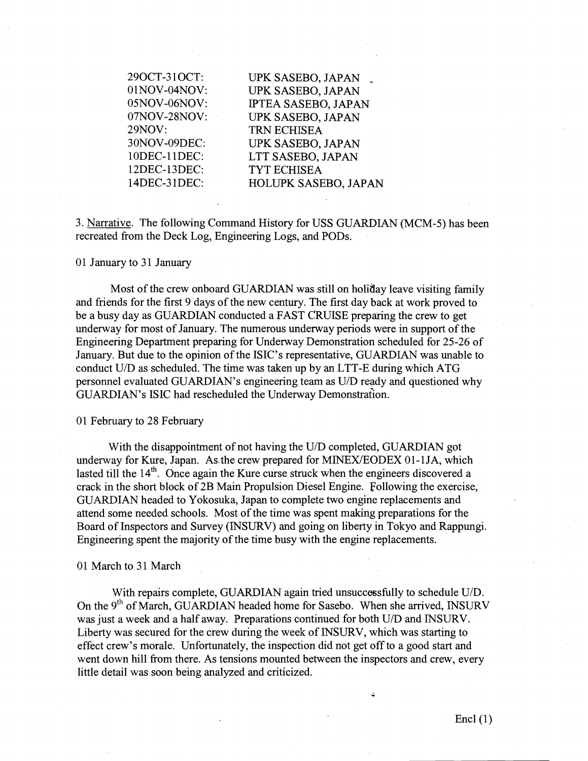290CT-3 1 OCT: 01NOV-04NOV: 05NOV-06NOV: 07NOV-28NOV: 29NOV: 3ONOV-09DEC: 1 ODEC- 1 1DEC: 12DEC-13DEC: 14DEC-3 1DEC:

UPK SASEBO, JAPAN UPK SASEBO, JAPAN IPTEA SASEBO, JAPAN UPK SASEBO, JAPAN TRN ECHISEA UPK SASEBO, JAPAN LTT SASEBO, JAPAN TYT ECHISEA HOLUPK SASEBO, JAPAN

3. Narrative. The following Conmand History for USS GUARDIAN (MCM-5) has been recreated from the Deck Log, Engineering Logs, and PODS.

#### 01 January to 31 January

Most of the crew onboard GUARDIAN was still on holiday leave visiting family and fiiends for the first 9 days of the new century. The first day back at work proved to be a busy day as GUARDIAN conducted a FAST CRUISE preparing the crew to get underway for most of January. The numerous underway periods were in support of the Engineering Department preparing for Underway Demonstration scheduled for 25-26 of January. But due to the opinion of the ISIC's representative, GUARDIAN was unable to conduct  $U/D$  as scheduled. The time was taken up by an LTT-E during which ATG personnel evaluated GUARDIAN'S engineering team as U/D ready and questioned why GUARDIAN's ISIC had rescheduled the Underway Demonstration.

#### 01 February to 28 February

With the disappointment of not having the U/D completed, GUARDIAN got underway for Kure, Japan. As the crew prepared for MINEX/EODEX 01-1JA, which lasted till the  $14<sup>th</sup>$ . Once again the Kure curse struck when the engineers discovered a crack in the short block of 2B Main Propulsion Diesel Engine. Following the exercise, GUARDIAN headed to Yokosuka, Japan to complete two engine replacements and attend some needed schools. Most of the time was spent making preparations for the Board of Inspectors and Survey (INSURV) and going on liberty in Tokyo and Rappungi. Engineering spent the majority of the time busy with the engine replacements.

#### 01 March to 31 March

With repairs complete, GUARDIAN again tried unsuccessfully to schedule U/D. On the  $9<sup>th</sup>$  of March, GUARDIAN headed home for Sasebo. When she arrived, INSURV was just a week and a half away. Preparations continued for both U/D and INSURV. Liberty was secured for the crew during the week of INSURV, which was starting to effect crew's morale. Unfortunately, the inspection did not get off to a good start and went down hill from there. As tensions mounted between the inspectors and crew, every little detail was soon being analyzed and criticized.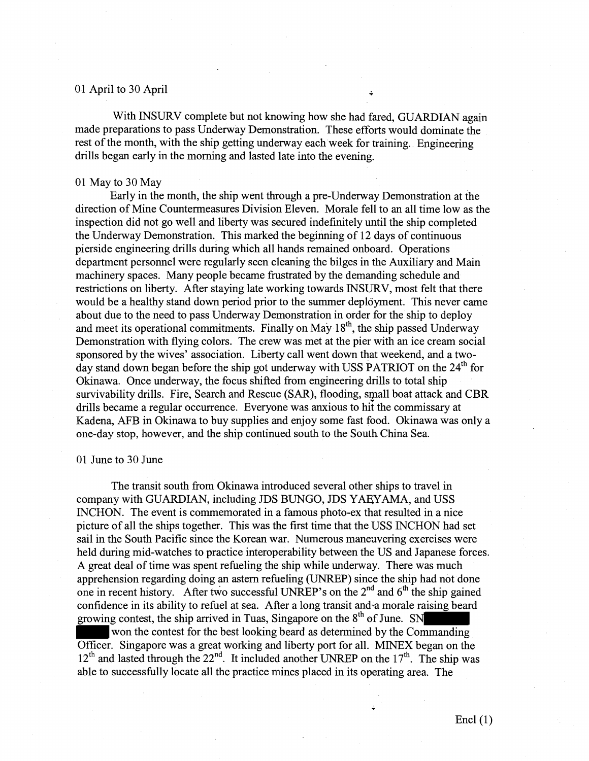# 01 April to 30 April  $\ddot{\phantom{1}}$

With INSURV complete but not knowing how she had fared, GUARDIAN again made preparations to pass Underway Demonstration. These efforts would dominate the rest of the month, with the ship getting underway each week for training. Engineering drills began early in the morning and lasted late into the evening.

#### $01$  May to 30 May

Early in the month, the ship went through a pre-Underway Demonstration at the direction of Mine Countermeasures Division Eleven. Morale fell to an all time low as the inspection did not go well and liberty was secured indefinitely until the ship completed the Underway Demonstration. This marked the beginning of 12 days of continuous pierside engineering drills during which all hands remained onboard. Operations department personnel were regularly seen cleaning the bilges in the Auxiliary and Main machinery spaces. Many people became frustrated by the demanding schedule and restrictions on liberty. After staying late working towards INSURV, most felt that there would be a healthy stand down period prior to the summer deployment. This never came about due to the need to pass Underway Demonstration in order for the ship to deploy and meet its operational commitments. Finally on May  $18<sup>th</sup>$ , the ship passed Underway Demonstration with flying colors. The crew was met at the pier with an ice cream social sponsored by the wives' association. Liberty call went down that weekend, and a twoday stand down began before the ship got underway with USS PATRIOT on the  $24<sup>th</sup>$  for Okinawa. Once underway, the focus shifted from engineering drills to total ship survivability drills. Fire, Search and Rescue (SAX), flooding, small boat attack and CBR drills became a regular occurrence. Everyone was anxious to hit the commissary at Kadena, AFB in Okinawa to buy supplies and enjoy some fast food. Okinawa was only a one-day stop, however, and the ship continued south to the South China Sea.

#### 01 June to 30 June

The transit south fiom Okinawa introduced several other ships to travel in company with GUARDIAN, including JDS BUNGO, JDS YAEYAMA, and USS INCHON. The event is commemorated in a famous photo-ex that resulted in a nice picture of all the ships together. This was the first time that the USS INCHON had set sail in the South Pacific since the Korean war. Numerous maneuvering exercises were held during mid-watches to practice interoperability between the US and Japanese forces. A great deal of time was spent refueling the ship while underway. There was much apprehension regarding doing an astern refueling (UNREP) since the ship had not done one in recent history. After two successful UNREP's on the  $2^{nd}$  and  $6^{th}$  the ship gained confidence in its ability to refuel at sea. After a long transit and-a morale raising beard growing contest, the ship arrived in Tuas, Singapore on the  $8<sup>th</sup>$  of June. SN

 won the contest for the best looking beard as determined by the Commanding Officer. Singapore was a great working and liberty port for all. MINEX began on the  $12<sup>th</sup>$  and lasted through the  $22<sup>nd</sup>$ . It included another UNREP on the  $17<sup>th</sup>$ . The ship was able to successfully locate all the practice mines placed in its operating area. The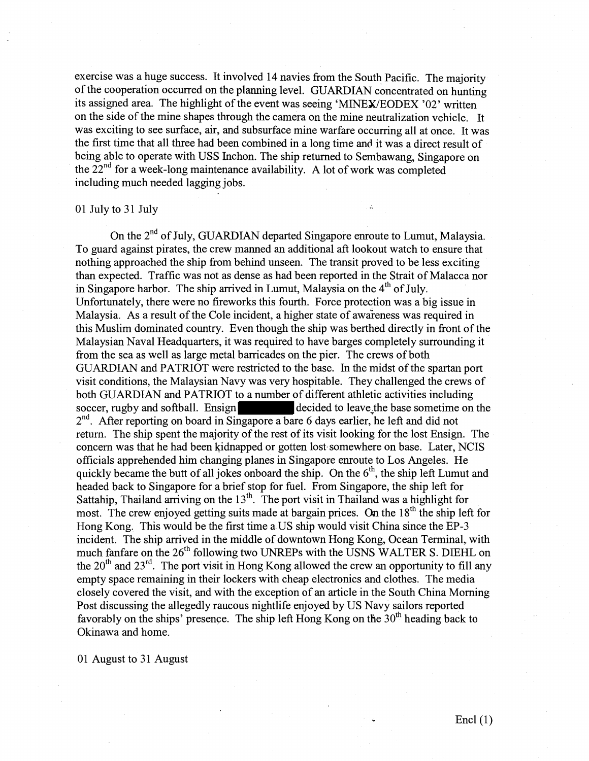exercise was a huge success. It involved 14 navies from the South Pacific. The majority of the cooperation occurred on the planning level. GUARDIAN concentrated on hunting its assigned area. The highlight of the event was seeing 'MINEWEODEX '02' written on the side of the mine shapes through the camera on the mine neutralization vehicle. It was exciting to see surface, air, and subsurface mine warfare occurring all at once. It was the first time that all three had been combined in a long time and it was a direct result of being able to operate with USS Inchon. The ship returned to Sembawang, Singapore on the  $22<sup>nd</sup>$  for a week-long maintenance availability. A lot of work was completed including much needed lagging jobs.

# 01 July to 31 July

On the 2<sup>nd</sup> of July, GUARDIAN departed Singapore enroute to Lumut, Malaysia. To guard against pirates, the crew manned an additional aft lookout watch to ensure that nothing approached the ship from behind unseen. The transit proved to be less exciting than expected. Traffic was not as dense as had been reported in the Strait of Malacca nor in Singapore harbor. The ship arrived in Lumut, Malaysia on the  $4<sup>th</sup>$  of July. Unfortunately, there were no fireworks this fourth. Force protection was a big issue in Malaysia. As a result of the Cole incident, a higher state of awareness was required in this Muslim dominated country. Even though the ship was berthed directly in front of the Malaysian Naval Headquarters, it was required to have barges completely surrounding it from the sea as well as large metal barricades on the pier. The crews of both GUARDIAN and PATRIOT were restricted to the base. In the midst of the spartan port visit conditions, the Malaysian Navy was very hospitable. They challenged the crews of both GUARDIAN and PATRIOT to a number of different athletic activities including soccer, rugby and softball. Ensign decided to leave the base sometime on the  $2<sup>nd</sup>$ . After reporting on board in Singapore a bare 6 days earlier, he left and did not return. The ship spent the majority of the rest of its visit looking for the lost Ensign. The concern was that he had been kidnapped or gotten lost somewhere on base. Later, NCIS officials apprehended him changing planes in Singapore enroute to Los Angeles. He quickly became the butt of all jokes onboard the ship. On the  $6<sup>th</sup>$ , the ship left Lumut and headed back to Singapore for a brief stop for hel. From Singapore, the ship left for Sattahip, Thailand arriving on the  $13<sup>th</sup>$ . The port visit in Thailand was a highlight for most. The crew enjoyed getting suits made at bargain prices. On the 18<sup>th</sup> the ship left for Hong Kong. This would be the first time a US ship would visit China since the EP-3 incident. The ship arrived in the middle of downtown Hong Kong, Ocean Terminal, with much fanfare on the 26<sup>th</sup> following two UNREPs with the USNS WALTER S. DIEHL on the  $20<sup>th</sup>$  and  $23<sup>rd</sup>$ . The port visit in Hong Kong allowed the crew an opportunity to fill any empty space remaining in their lockers with cheap electronics and clothes. The media closely covered the visit, and with the exception of an article in the South China Morning Post discussing the allegedly raucous nightlife enjoyed by US Navy sailors reported favorably on the ships' presence. The ship left Hong Kong on the  $30<sup>th</sup>$  heading back to Okinawa and home.

01 August to **3** 1 August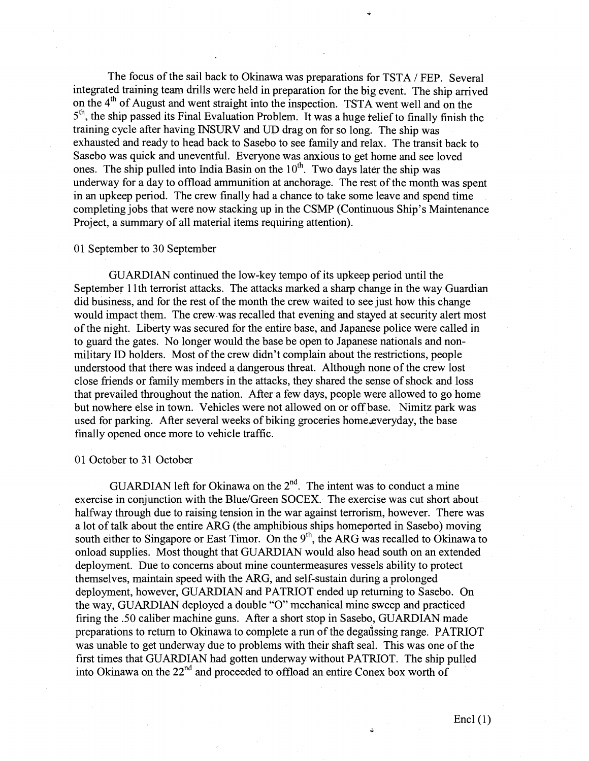The focus of the sail back to Okinawa was preparations for TSTA / FEP. Several integrated training team drills were held in preparation for the big event. The ship arrived on the 4" of August and went straight into the inspection. TSTA went well and on the 5<sup>th</sup>, the ship passed its Final Evaluation Problem. It was a huge relief to finally finish the training cycle after having INSURV and UD drag on for so long. The ship was exhausted and ready to head back to Sasebo to see family and relax. The transit back to Sasebo was quick and uneventful. Everyone was anxious to get home and see loved ones. The ship pulled into India Basin on the  $10<sup>th</sup>$ . Two days later the ship was underway for a day to offload ammunition at anchorage. The rest of the month was spent in an upkeep period. The crew finally had a chance to take some leave and spend time completing jobs that were now stacking up in the CSMP (Continuous Ship's Maintenance Project, a summary of all material items requiring attention).

# 01 September to 30 September

GUARDIAN continued the low-key tempo of its upkeep period until the September 11th terrorist attacks. The attacks marked a sharp change in the way Guardian did business, and for the rest of the month the crew waited to see just how this change would impact them. The crew.was recalled that evening and stayed at security alert most of the night. Liberty was secured for the entire base, and Japanese police were called in to guard the gates. No longer would the base be open to Japanese nationals and nonmilitary ID holders. Most of the crew didn't complain about the restrictions, people understood that there was indeed a dangerous threat. Although none of the crew lost close friends or family members in the attacks, they shared the sense of shock and loss that prevailed throughout the nation. After a few days, people were allowed to go home but nowhere else in town. Vehicles were not allowed on or off base. Nimitz park was used for parking. After several weeks of biking groceries home everyday, the base finally opened once more to vehicle traffic.

# 01 October to **3** 1 October

GUARDIAN left for Okinawa on the  $2<sup>nd</sup>$ . The intent was to conduct a mine exercise in conjunction with the Blue/Green SOCEX. The exercise was cut short about halfway through due to raising tension in the war against terrorism, however. There was a lot of talk about the entire ARG (the amphibious ships homeported in Sasebo) moving south either to Singapore or East Timor. On the  $9<sup>th</sup>$ , the ARG was recalled to Okinawa to onload supplies. Most thought that GUARDIAN would also head south on an extended deployment. Due to concerns about mine countermeasures vessels ability to protect themselves, maintain speed with the ARG, and self-sustain during a prolonged deployment, however, GUARDIAN and PATRIOT ended up returning to Sasebo. On the way, GUARDIAN deployed a double "O" mechanical mine sweep and practiced firing the .50 caliber machine guns. After a short stop in Sasebo, GUARDIAN made preparations to return to Okinawa to complete a run of the dega $\tilde{a}$ ssing range. PATRIOT was unable to get underway due to problems with their shaft seal. This was one of the first times that GUARDIAN had gotten underway without PATRIOT. The ship pulled into Okinawa on the 22<sup>nd</sup> and proceeded to offload an entire Conex box worth of